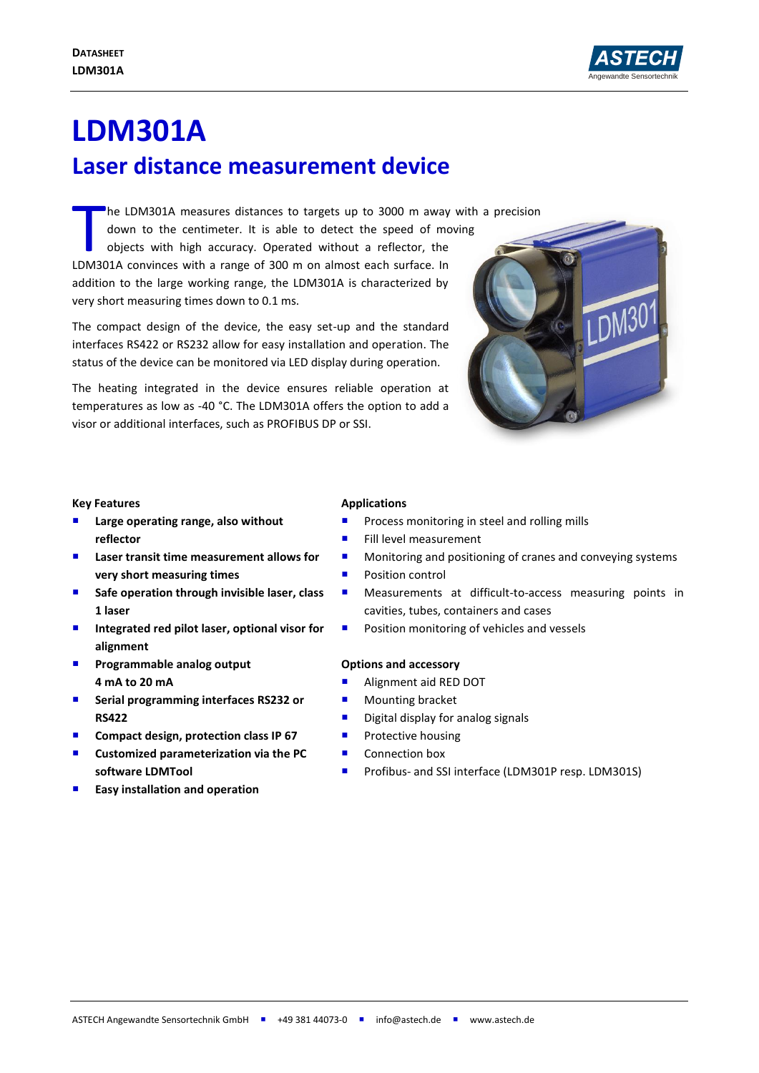

# **LDM301A Laser distance measurement device**

he LDM301A measures distances to targets up to 3000 m away with a precision

down to the centimeter. It is able to detect the speed of moving objects with high accuracy. Operated without a reflector, the The LDM301A measures distances to targets up to 3000 m away<br>down to the centimeter. It is able to detect the speed of mo<br>objects with high accuracy. Operated without a reflector, the<br>LDM301A convinces with a range of 300 m addition to the large working range, the LDM301A is characterized by very short measuring times down to 0.1 ms.

The compact design of the device, the easy set-up and the standard interfaces RS422 or RS232 allow for easy installation and operation. The status of the device can be monitored via LED display during operation.

The heating integrated in the device ensures reliable operation at temperatures as low as -40 °C. The LDM301A offers the option to add a visor or additional interfaces, such as PROFIBUS DP or SSI.



## **Key Features**

- **Large operating range, also without reflector**
- Laser transit time measurement allows for **very short measuring times**
- Safe operation through invisible laser, class **1 laser**
- Integrated red pilot laser, optional visor for **alignment**
- **Programmable analog output 4 mA to 20 mA**
- **F** Serial programming interfaces RS232 or **RS422**
- **Compact design, protection class IP 67**
- **Customized parameterization via the PC software LDMTool**
- **Easy installation and operation**

## **Applications**

- Process monitoring in steel and rolling mills
- Fill level measurement
- **Monitoring and positioning of cranes and conveying systems**
- **Position control**
- **Measurements at difficult-to-access measuring points in** cavities, tubes, containers and cases
- Position monitoring of vehicles and vessels

#### **Options and accessory**

- **Alignment aid RED DOT**
- **Mounting bracket**
- **Digital display for analog signals**
- **Protective housing**
- Connection box
- **Profibus- and SSI interface (LDM301P resp. LDM301S)**